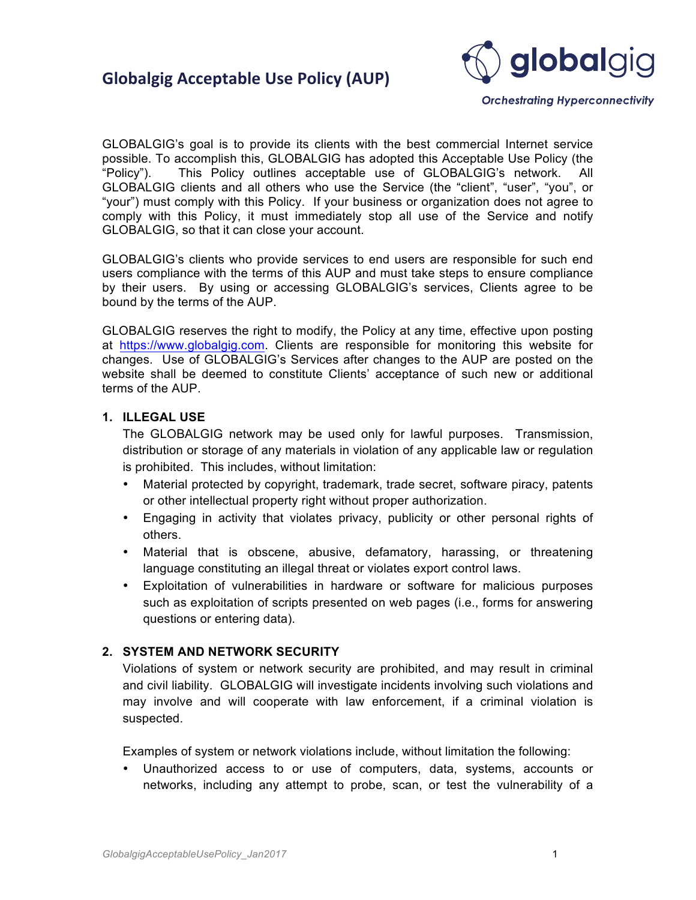

**Orchestrating Hyperconnectivity** 

GLOBALGIG's goal is to provide its clients with the best commercial Internet service possible. To accomplish this, GLOBALGIG has adopted this Acceptable Use Policy (the "Policy"). This Policy outlines acceptable use of GLOBALGIG's network. All GLOBALGIG clients and all others who use the Service (the "client", "user", "you", or "your") must comply with this Policy. If your business or organization does not agree to comply with this Policy, it must immediately stop all use of the Service and notify GLOBALGIG, so that it can close your account.

GLOBALGIG's clients who provide services to end users are responsible for such end users compliance with the terms of this AUP and must take steps to ensure compliance by their users. By using or accessing GLOBALGIG's services, Clients agree to be bound by the terms of the AUP.

GLOBALGIG reserves the right to modify, the Policy at any time, effective upon posting at <https://www.globalgig.com>. Clients are responsible for monitoring this website for changes. Use of GLOBALGIG's Services after changes to the AUP are posted on the website shall be deemed to constitute Clients' acceptance of such new or additional terms of the AUP.

#### **1. ILLEGAL USE**

The GLOBALGIG network may be used only for lawful purposes. Transmission, distribution or storage of any materials in violation of any applicable law or regulation is prohibited. This includes, without limitation:

- Material protected by copyright, trademark, trade secret, software piracy, patents or other intellectual property right without proper authorization.
- Engaging in activity that violates privacy, publicity or other personal rights of others.
- Material that is obscene, abusive, defamatory, harassing, or threatening language constituting an illegal threat or violates export control laws.
- Exploitation of vulnerabilities in hardware or software for malicious purposes such as exploitation of scripts presented on web pages (i.e., forms for answering questions or entering data).

#### **2. SYSTEM AND NETWORK SECURITY**

Violations of system or network security are prohibited, and may result in criminal and civil liability. GLOBALGIG will investigate incidents involving such violations and may involve and will cooperate with law enforcement, if a criminal violation is suspected.

Examples of system or network violations include, without limitation the following:

• Unauthorized access to or use of computers, data, systems, accounts or networks, including any attempt to probe, scan, or test the vulnerability of a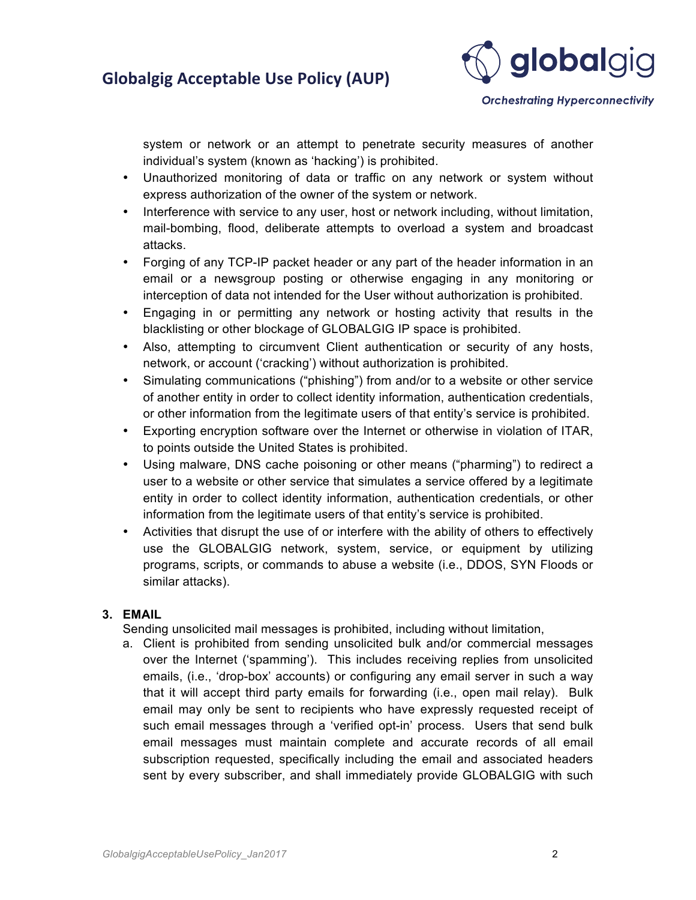# **Globalgig Acceptable Use Policy (AUP)**



**Orchestrating Hyperconnectivity** 

system or network or an attempt to penetrate security measures of another individual's system (known as 'hacking') is prohibited.

- Unauthorized monitoring of data or traffic on any network or system without express authorization of the owner of the system or network.
- Interference with service to any user, host or network including, without limitation, mail-bombing, flood, deliberate attempts to overload a system and broadcast attacks.
- Forging of any TCP-IP packet header or any part of the header information in an email or a newsgroup posting or otherwise engaging in any monitoring or interception of data not intended for the User without authorization is prohibited.
- Engaging in or permitting any network or hosting activity that results in the blacklisting or other blockage of GLOBALGIG IP space is prohibited.
- Also, attempting to circumvent Client authentication or security of any hosts, network, or account ('cracking') without authorization is prohibited.
- Simulating communications ("phishing") from and/or to a website or other service of another entity in order to collect identity information, authentication credentials, or other information from the legitimate users of that entity's service is prohibited.
- Exporting encryption software over the Internet or otherwise in violation of ITAR, to points outside the United States is prohibited.
- Using malware, DNS cache poisoning or other means ("pharming") to redirect a user to a website or other service that simulates a service offered by a legitimate entity in order to collect identity information, authentication credentials, or other information from the legitimate users of that entity's service is prohibited.
- Activities that disrupt the use of or interfere with the ability of others to effectively use the GLOBALGIG network, system, service, or equipment by utilizing programs, scripts, or commands to abuse a website (i.e., DDOS, SYN Floods or similar attacks).

#### **3. EMAIL**

Sending unsolicited mail messages is prohibited, including without limitation,

a. Client is prohibited from sending unsolicited bulk and/or commercial messages over the Internet ('spamming'). This includes receiving replies from unsolicited emails, (i.e., 'drop-box' accounts) or configuring any email server in such a way that it will accept third party emails for forwarding (i.e., open mail relay). Bulk email may only be sent to recipients who have expressly requested receipt of such email messages through a 'verified opt-in' process. Users that send bulk email messages must maintain complete and accurate records of all email subscription requested, specifically including the email and associated headers sent by every subscriber, and shall immediately provide GLOBALGIG with such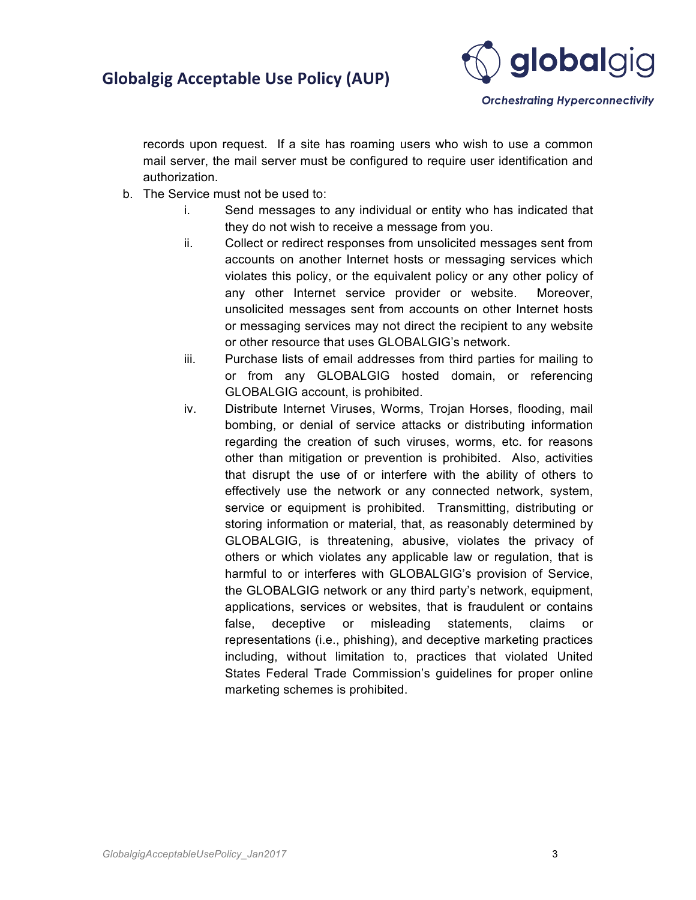# **Globalgig Acceptable Use Policy (AUP)**



**Orchestrating Hyperconnectivity** 

records upon request. If a site has roaming users who wish to use a common mail server, the mail server must be configured to require user identification and authorization.

- b. The Service must not be used to:
	- i. Send messages to any individual or entity who has indicated that they do not wish to receive a message from you.
	- ii. Collect or redirect responses from unsolicited messages sent from accounts on another Internet hosts or messaging services which violates this policy, or the equivalent policy or any other policy of any other Internet service provider or website. Moreover, unsolicited messages sent from accounts on other Internet hosts or messaging services may not direct the recipient to any website or other resource that uses GLOBALGIG's network.
	- iii. Purchase lists of email addresses from third parties for mailing to or from any GLOBALGIG hosted domain, or referencing GLOBALGIG account, is prohibited.
	- iv. Distribute Internet Viruses, Worms, Trojan Horses, flooding, mail bombing, or denial of service attacks or distributing information regarding the creation of such viruses, worms, etc. for reasons other than mitigation or prevention is prohibited. Also, activities that disrupt the use of or interfere with the ability of others to effectively use the network or any connected network, system, service or equipment is prohibited. Transmitting, distributing or storing information or material, that, as reasonably determined by GLOBALGIG, is threatening, abusive, violates the privacy of others or which violates any applicable law or regulation, that is harmful to or interferes with GLOBALGIG's provision of Service, the GLOBALGIG network or any third party's network, equipment, applications, services or websites, that is fraudulent or contains false, deceptive or misleading statements, claims or representations (i.e., phishing), and deceptive marketing practices including, without limitation to, practices that violated United States Federal Trade Commission's guidelines for proper online marketing schemes is prohibited.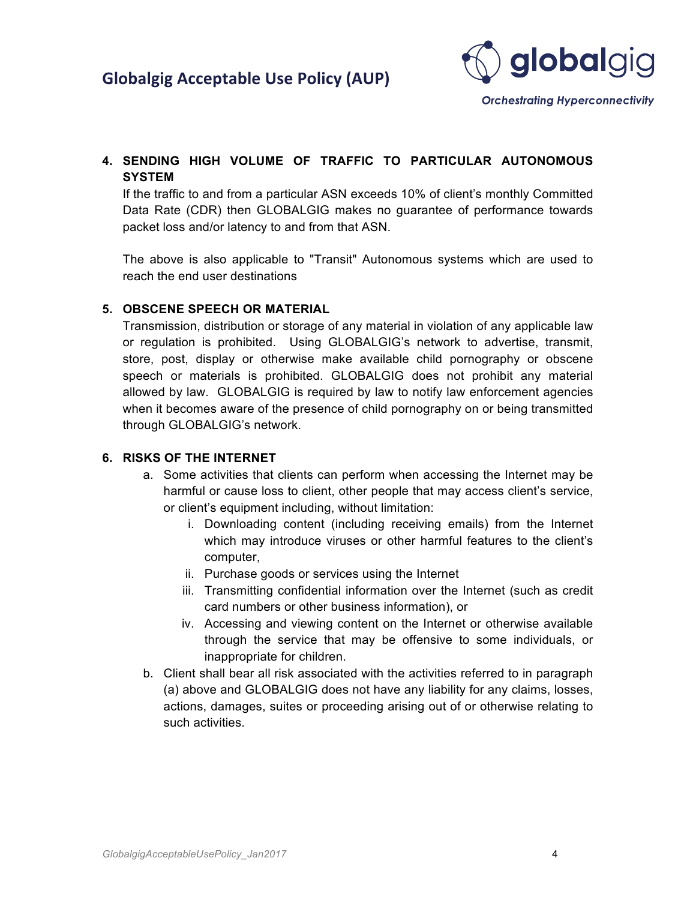

### **4. SENDING HIGH VOLUME OF TRAFFIC TO PARTICULAR AUTONOMOUS SYSTEM**

If the traffic to and from a particular ASN exceeds 10% of client's monthly Committed Data Rate (CDR) then GLOBALGIG makes no guarantee of performance towards packet loss and/or latency to and from that ASN.

The above is also applicable to "Transit" Autonomous systems which are used to reach the end user destinations

#### **5. OBSCENE SPEECH OR MATERIAL**

Transmission, distribution or storage of any material in violation of any applicable law or regulation is prohibited. Using GLOBALGIG's network to advertise, transmit, store, post, display or otherwise make available child pornography or obscene speech or materials is prohibited. GLOBALGIG does not prohibit any material allowed by law. GLOBALGIG is required by law to notify law enforcement agencies when it becomes aware of the presence of child pornography on or being transmitted through GLOBALGIG's network.

#### **6. RISKS OF THE INTERNET**

- a. Some activities that clients can perform when accessing the Internet may be harmful or cause loss to client, other people that may access client's service, or client's equipment including, without limitation:
	- i. Downloading content (including receiving emails) from the Internet which may introduce viruses or other harmful features to the client's computer,
	- ii. Purchase goods or services using the Internet
	- iii. Transmitting confidential information over the Internet (such as credit card numbers or other business information), or
	- iv. Accessing and viewing content on the Internet or otherwise available through the service that may be offensive to some individuals, or inappropriate for children.
- b. Client shall bear all risk associated with the activities referred to in paragraph (a) above and GLOBALGIG does not have any liability for any claims, losses, actions, damages, suites or proceeding arising out of or otherwise relating to such activities.